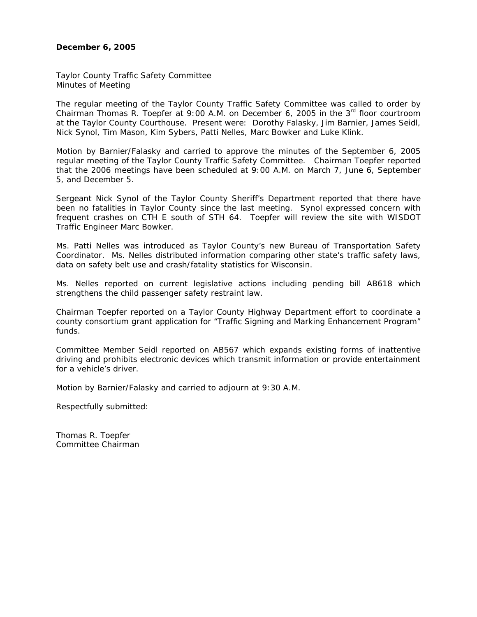# **December 6, 2005**

Taylor County Traffic Safety Committee Minutes of Meeting

The regular meeting of the Taylor County Traffic Safety Committee was called to order by Chairman Thomas R. Toepfer at 9:00 A.M. on December 6, 2005 in the  $3<sup>rd</sup>$  floor courtroom at the Taylor County Courthouse. Present were: Dorothy Falasky, Jim Barnier, James Seidl, Nick Synol, Tim Mason, Kim Sybers, Patti Nelles, Marc Bowker and Luke Klink.

Motion by Barnier/Falasky and carried to approve the minutes of the September 6, 2005 regular meeting of the Taylor County Traffic Safety Committee. Chairman Toepfer reported that the 2006 meetings have been scheduled at 9:00 A.M. on March 7, June 6, September 5, and December 5.

Sergeant Nick Synol of the Taylor County Sheriff's Department reported that there have been no fatalities in Taylor County since the last meeting. Synol expressed concern with frequent crashes on CTH E south of STH 64. Toepfer will review the site with WISDOT Traffic Engineer Marc Bowker.

Ms. Patti Nelles was introduced as Taylor County's new Bureau of Transportation Safety Coordinator. Ms. Nelles distributed information comparing other state's traffic safety laws, data on safety belt use and crash/fatality statistics for Wisconsin.

Ms. Nelles reported on current legislative actions including pending bill AB618 which strengthens the child passenger safety restraint law.

Chairman Toepfer reported on a Taylor County Highway Department effort to coordinate a county consortium grant application for "Traffic Signing and Marking Enhancement Program" funds.

Committee Member Seidl reported on AB567 which expands existing forms of inattentive driving and prohibits electronic devices which transmit information or provide entertainment for a vehicle's driver.

Motion by Barnier/Falasky and carried to adjourn at 9:30 A.M.

Respectfully submitted:

Thomas R. Toepfer Committee Chairman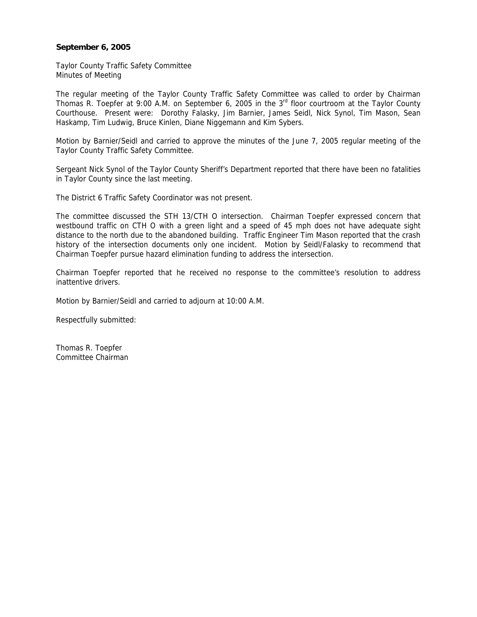# **September 6, 2005**

Taylor County Traffic Safety Committee Minutes of Meeting

The regular meeting of the Taylor County Traffic Safety Committee was called to order by Chairman Thomas R. Toepfer at 9:00 A.M. on September 6, 2005 in the 3<sup>rd</sup> floor courtroom at the Taylor County Courthouse. Present were: Dorothy Falasky, Jim Barnier, James Seidl, Nick Synol, Tim Mason, Sean Haskamp, Tim Ludwig, Bruce Kinlen, Diane Niggemann and Kim Sybers.

Motion by Barnier/Seidl and carried to approve the minutes of the June 7, 2005 regular meeting of the Taylor County Traffic Safety Committee.

Sergeant Nick Synol of the Taylor County Sheriff's Department reported that there have been no fatalities in Taylor County since the last meeting.

The District 6 Traffic Safety Coordinator was not present.

The committee discussed the STH 13/CTH O intersection. Chairman Toepfer expressed concern that westbound traffic on CTH O with a green light and a speed of 45 mph does not have adequate sight distance to the north due to the abandoned building. Traffic Engineer Tim Mason reported that the crash history of the intersection documents only one incident. Motion by Seidl/Falasky to recommend that Chairman Toepfer pursue hazard elimination funding to address the intersection.

Chairman Toepfer reported that he received no response to the committee's resolution to address inattentive drivers.

Motion by Barnier/Seidl and carried to adjourn at 10:00 A.M.

Respectfully submitted:

Thomas R. Toepfer Committee Chairman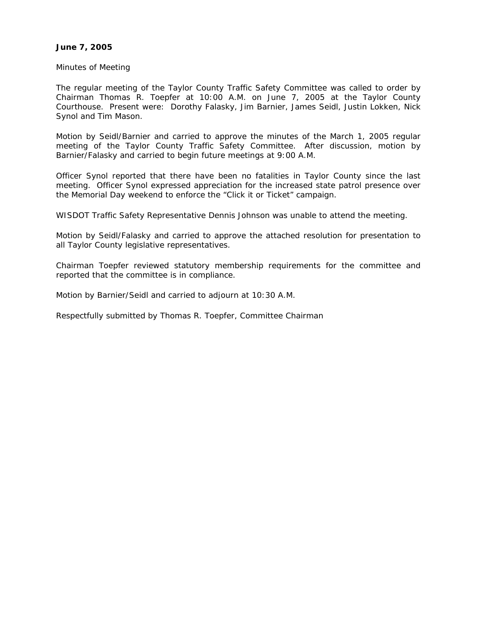# **June 7, 2005**

Minutes of Meeting

The regular meeting of the Taylor County Traffic Safety Committee was called to order by Chairman Thomas R. Toepfer at 10:00 A.M. on June 7, 2005 at the Taylor County Courthouse. Present were: Dorothy Falasky, Jim Barnier, James Seidl, Justin Lokken, Nick Synol and Tim Mason.

Motion by Seidl/Barnier and carried to approve the minutes of the March 1, 2005 regular meeting of the Taylor County Traffic Safety Committee. After discussion, motion by Barnier/Falasky and carried to begin future meetings at 9:00 A.M.

Officer Synol reported that there have been no fatalities in Taylor County since the last meeting. Officer Synol expressed appreciation for the increased state patrol presence over the Memorial Day weekend to enforce the "Click it or Ticket" campaign.

WISDOT Traffic Safety Representative Dennis Johnson was unable to attend the meeting.

Motion by Seidl/Falasky and carried to approve the attached resolution for presentation to all Taylor County legislative representatives.

Chairman Toepfer reviewed statutory membership requirements for the committee and reported that the committee is in compliance.

Motion by Barnier/Seidl and carried to adjourn at 10:30 A.M.

Respectfully submitted by Thomas R. Toepfer, Committee Chairman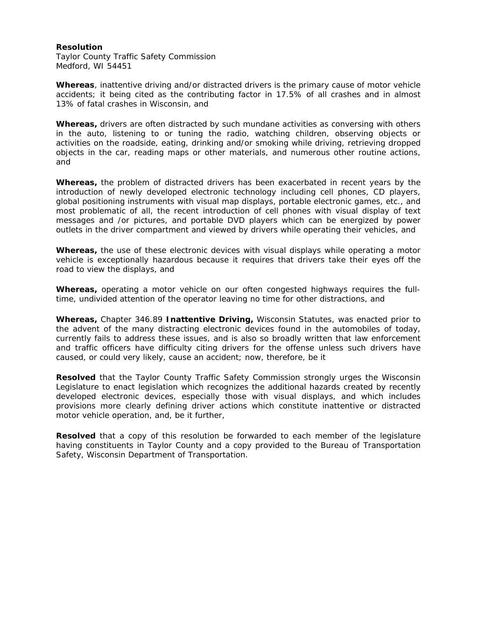## **Resolution**

Taylor County Traffic Safety Commission Medford, WI 54451

**Whereas***,* inattentive driving and/or distracted drivers is the primary cause of motor vehicle accidents; it being cited as the contributing factor in 17.5% of all crashes and in almost 13% of fatal crashes in Wisconsin, and

**Whereas,** drivers are often distracted by such mundane activities as conversing with others in the auto, listening to or tuning the radio, watching children, observing objects or activities on the roadside, eating, drinking and/or smoking while driving, retrieving dropped objects in the car, reading maps or other materials, and numerous other routine actions, and

**Whereas,** the problem of distracted drivers has been exacerbated in recent years by the introduction of newly developed electronic technology including cell phones, CD players, global positioning instruments with visual map displays, portable electronic games, etc., and most problematic of all, the recent introduction of cell phones with visual display of text messages and /or pictures, and portable DVD players which can be energized by power outlets in the driver compartment and viewed by drivers while operating their vehicles, and

**Whereas,** the use of these electronic devices with visual displays while operating a motor vehicle is exceptionally hazardous because it requires that drivers take their eyes off the road to view the displays, and

**Whereas,** operating a motor vehicle on our often congested highways requires the fulltime, undivided attention of the operator leaving no time for other distractions, and

**Whereas,** Chapter 346.89 **Inattentive Driving,** Wisconsin Statutes, was enacted prior to the advent of the many distracting electronic devices found in the automobiles of today, currently fails to address these issues, and is also so broadly written that law enforcement and traffic officers have difficulty citing drivers for the offense unless such drivers have caused, or could very likely, cause an accident; now, therefore, be it

**Resolved** that the Taylor County Traffic Safety Commission strongly urges the Wisconsin Legislature to enact legislation which recognizes the additional hazards created by recently developed electronic devices, especially those with visual displays, and which includes provisions more clearly defining driver actions which constitute inattentive or distracted motor vehicle operation, and, be it further,

**Resolved** that a copy of this resolution be forwarded to each member of the legislature having constituents in Taylor County and a copy provided to the Bureau of Transportation Safety, Wisconsin Department of Transportation.